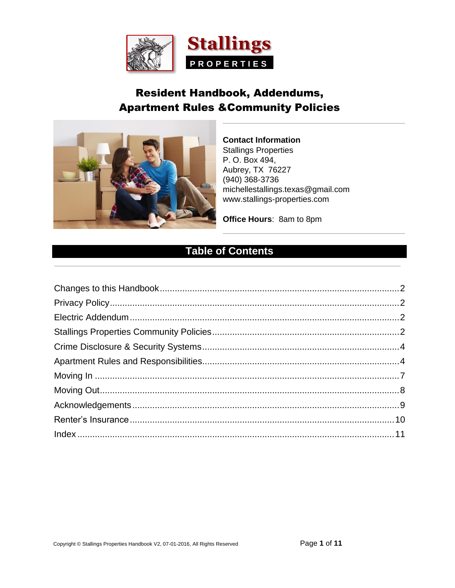<span id="page-0-0"></span>

## **Resident Handbook, Addendums, Apartment Rules & Community Policies**



**Contact Information Stallings Properties** P. O. Box 494, Aubrey, TX 76227  $(940)$  368-3736 michellestallings.texas@gmail.com www.stallings-properties.com

Office Hours: 8am to 8pm

### **Table of Contents**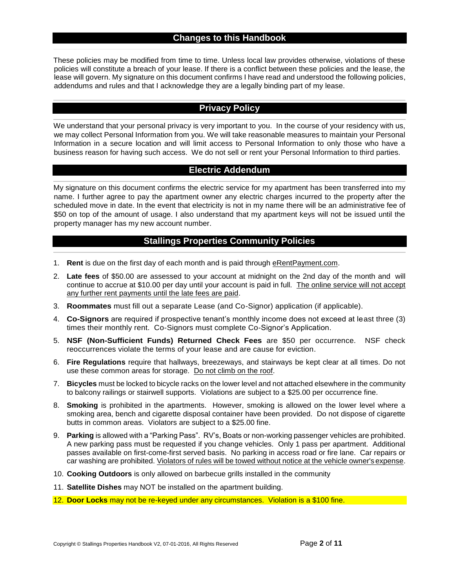#### **Changes to this Handbook**

<span id="page-1-0"></span>These policies may be modified from time to time. Unless local law provides otherwise, violations of these policies will constitute a breach of your lease. If there is a conflict between these policies and the lease, the lease will govern. My signature on this document confirms I have read and understood the following policies, addendums and rules and that I acknowledge they are a legally binding part of my lease.

#### **Privacy Policy**

<span id="page-1-1"></span>We understand that your personal privacy is very important to you. In the course of your residency with us, we may collect Personal Information from you. We will take reasonable measures to maintain your Personal Information in a secure location and will limit access to Personal Information to only those who have a business reason for having such access. We do not sell or rent your Personal Information to third parties.

#### **Electric Addendum**

<span id="page-1-2"></span>My signature on this document confirms the electric service for my apartment has been transferred into my name. I further agree to pay the apartment owner any electric charges incurred to the property after the scheduled move in date. In the event that electricity is not in my name there will be an administrative fee of \$50 on top of the amount of usage. I also understand that my apartment keys will not be issued until the property manager has my new account number.

#### **Stallings Properties Community Policies**

- <span id="page-1-3"></span>1. **Rent** is due on the first day of each month and is paid through eRentPayment.com.
- 2. **Late fees** of \$50.00 are assessed to your account at midnight on the 2nd day of the month and will continue to accrue at \$10.00 per day until your account is paid in full. The online service will not accept any further rent payments until the late fees are paid.
- 3. **Roommates** must fill out a separate Lease (and Co-Signor) application (if applicable).
- 4. **Co-Signors** are required if prospective tenant's monthly income does not exceed at least three (3) times their monthly rent. Co-Signors must complete Co-Signor's Application.
- 5. **NSF (Non-Sufficient Funds) Returned Check Fees** are \$50 per occurrence. NSF check reoccurrences violate the terms of your lease and are cause for eviction.
- 6. **Fire Regulations** require that hallways, breezeways, and stairways be kept clear at all times. Do not use these common areas for storage. Do not climb on the roof.
- 7. **Bicycles** must be locked to bicycle racks on the lower level and not attached elsewhere in the community to balcony railings or stairwell supports. Violations are subject to a \$25.00 per occurrence fine.
- 8. **Smoking** is prohibited in the apartments. However, smoking is allowed on the lower level where a smoking area, bench and cigarette disposal container have been provided. Do not dispose of cigarette butts in common areas. Violators are subject to a \$25.00 fine.
- 9. **Parking** is allowed with a "Parking Pass". RV's, Boats or non-working passenger vehicles are prohibited. A new parking pass must be requested if you change vehicles. Only 1 pass per apartment. Additional passes available on first-come-first served basis. No parking in access road or fire lane. Car repairs or car washing are prohibited. Violators of rules will be towed without notice at the vehicle owner's expense.
- 10. **Cooking Outdoors** is only allowed on barbecue grills installed in the community
- 11. **Satellite Dishes** may NOT be installed on the apartment building.
- 12. **Door Locks** may not be re-keyed under any circumstances. Violation is a \$100 fine.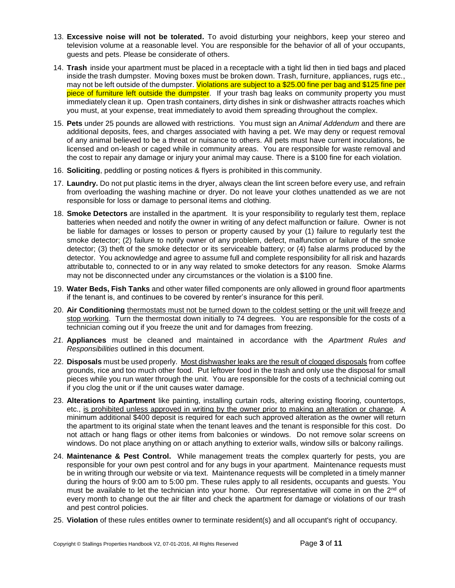- 13. **Excessive noise will not be tolerated.** To avoid disturbing your neighbors, keep your stereo and television volume at a reasonable level. You are responsible for the behavior of all of your occupants, guests and pets. Please be considerate of others.
- 14. **Trash** inside your apartment must be placed in a receptacle with a tight lid then in tied bags and placed inside the trash dumpster. Moving boxes must be broken down. Trash, furniture, appliances, rugs etc., may not be left outside of the dumpster. Violations are subject to a \$25.00 fine per bag and \$125 fine per piece of furniture left outside the dumpster. If your trash bag leaks on community property you must immediately clean it up. Open trash containers, dirty dishes in sink or dishwasher attracts roaches which you must, at your expense, treat immediately to avoid them spreading throughout the complex.
- 15. **Pets** under 25 pounds are allowed with restrictions. You must sign an *Animal Addendum* and there are additional deposits, fees, and charges associated with having a pet. We may deny or request removal of any animal believed to be a threat or nuisance to others. All pets must have current inoculations, be licensed and on-leash or caged while in community areas. You are responsible for waste removal and the cost to repair any damage or injury your animal may cause. There is a \$100 fine for each violation.
- 16. **Soliciting**, peddling or posting notices & flyers is prohibited in this community.
- 17. **Laundry.** Do not put plastic items in the dryer, always clean the lint screen before every use, and refrain from overloading the washing machine or dryer. Do not leave your clothes unattended as we are not responsible for loss or damage to personal items and clothing.
- 18. **Smoke Detectors** are installed in the apartment. It is your responsibility to regularly test them, replace batteries when needed and notify the owner in writing of any defect malfunction or failure. Owner is not be liable for damages or losses to person or property caused by your (1) failure to regularly test the smoke detector; (2) failure to notify owner of any problem, defect, malfunction or failure of the smoke detector; (3) theft of the smoke detector or its serviceable battery; or (4) false alarms produced by the detector. You acknowledge and agree to assume full and complete responsibility for all risk and hazards attributable to, connected to or in any way related to smoke detectors for any reason. Smoke Alarms may not be disconnected under any circumstances or the violation is a \$100 fine.
- 19. **Water Beds, Fish Tanks** and other water filled components are only allowed in ground floor apartments if the tenant is, and continues to be covered by renter's insurance for this peril.
- 20. **Air Conditioning** thermostats must not be turned down to the coldest setting or the unit will freeze and stop working. Turn the thermostat down initially to 74 degrees. You are responsible for the costs of a technician coming out if you freeze the unit and for damages from freezing.
- *21.* **Appliances** must be cleaned and maintained in accordance with the *Apartment Rules and Responsibilities* outlined in this document.
- 22. **Disposals** must be used properly. Most dishwasher leaks are the result of clogged disposals from coffee grounds, rice and too much other food. Put leftover food in the trash and only use the disposal for small pieces while you run water through the unit. You are responsible for the costs of a technicial coming out if you clog the unit or if the unit causes water damage.
- 23. **Alterations to Apartment** like painting, installing curtain rods, altering existing flooring, countertops, etc., is prohibited unless approved in writing by the owner prior to making an alteration or change. A minimum additional \$400 deposit is required for each such approved alteration as the owner will return the apartment to its original state when the tenant leaves and the tenant is responsible for this cost. Do not attach or hang flags or other items from balconies or windows. Do not remove solar screens on windows. Do not place anything on or attach anything to exterior walls, window sills or balcony railings.
- 24. **Maintenance & Pest Control.** While management treats the complex quarterly for pests, you are responsible for your own pest control and for any bugs in your apartment. Maintenance requests must be in writing through our website or via text. Maintenance requests will be completed in a timely manner during the hours of 9:00 am to 5:00 pm. These rules apply to all residents, occupants and guests. You must be available to let the technician into your home. Our representative will come in on the 2<sup>nd</sup> of every month to change out the air filter and check the apartment for damage or violations of our trash and pest control policies.
- 25. **Violation** of these rules entitles owner to terminate resident(s) and all occupant's right of occupancy.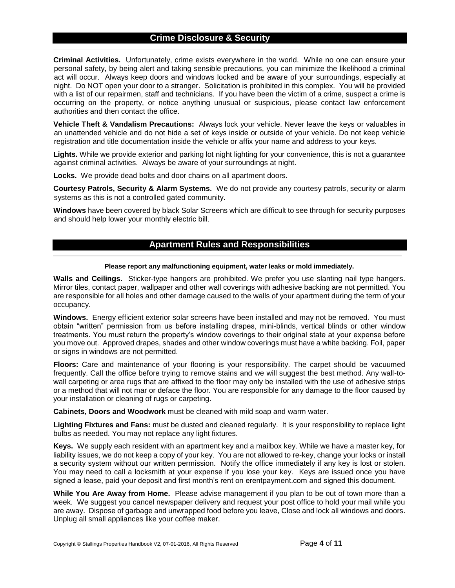#### **Crime Disclosure & Security**

<span id="page-3-0"></span>**Criminal Activities.** Unfortunately, crime exists everywhere in the world. While no one can ensure your personal safety, by being alert and taking sensible precautions, you can minimize the likelihood a criminal act will occur. Always keep doors and windows locked and be aware of your surroundings, especially at night. Do NOT open your door to a stranger. Solicitation is prohibited in this complex. You will be provided with a list of our repairmen, staff and technicians. If you have been the victim of a crime, suspect a crime is occurring on the property, or notice anything unusual or suspicious, please contact law enforcement authorities and then contact the office.

**Vehicle Theft & Vandalism Precautions:** Always lock your vehicle. Never leave the keys or valuables in an unattended vehicle and do not hide a set of keys inside or outside of your vehicle. Do not keep vehicle registration and title documentation inside the vehicle or affix your name and address to your keys.

**Lights.** While we provide exterior and parking lot night lighting for your convenience, this is not a guarantee against criminal activities. Always be aware of your surroundings at night.

**Locks.** We provide dead bolts and door chains on all apartment doors.

**Courtesy Patrols, Security & Alarm Systems.** We do not provide any courtesy patrols, security or alarm systems as this is not a controlled gated community.

<span id="page-3-1"></span>**Windows** have been covered by black Solar Screens which are difficult to see through for security purposes and should help lower your monthly electric bill.

#### **Apartment Rules and Responsibilities**

#### **Please report any malfunctioning equipment, water leaks or mold immediately.**

**Walls and Ceilings.** Sticker-type hangers are prohibited. We prefer you use slanting nail type hangers. Mirror tiles, contact paper, wallpaper and other wall coverings with adhesive backing are not permitted. You are responsible for all holes and other damage caused to the walls of your apartment during the term of your occupancy.

**Windows.** Energy efficient exterior solar screens have been installed and may not be removed. You must obtain "written" permission from us before installing drapes, mini-blinds, vertical blinds or other window treatments. You must return the property's window coverings to their original state at your expense before you move out. Approved drapes, shades and other window coverings must have a white backing. Foil, paper or signs in windows are not permitted.

**Floors:** Care and maintenance of your flooring is your responsibility. The carpet should be vacuumed frequently. Call the office before trying to remove stains and we will suggest the best method. Any wall-towall carpeting or area rugs that are affixed to the floor may only be installed with the use of adhesive strips or a method that will not mar or deface the floor. You are responsible for any damage to the floor caused by your installation or cleaning of rugs or carpeting.

**Cabinets, Doors and Woodwork** must be cleaned with mild soap and warm water.

**Lighting Fixtures and Fans:** must be dusted and cleaned regularly. It is your responsibility to replace light bulbs as needed. You may not replace any light fixtures.

**Keys.** We supply each resident with an apartment key and a mailbox key. While we have a master key, for liability issues, we do not keep a copy of your key. You are not allowed to re-key, change your locks or install a security system without our written permission. Notify the office immediately if any key is lost or stolen. You may need to call a locksmith at your expense if you lose your key. Keys are issued once you have signed a lease, paid your deposit and first month's rent on erentpayment.com and signed this document.

**While You Are Away from Home.** Please advise management if you plan to be out of town more than a week. We suggest you cancel newspaper delivery and request your post office to hold your mail while you are away. Dispose of garbage and unwrapped food before you leave, Close and lock all windows and doors. Unplug all small appliances like your coffee maker.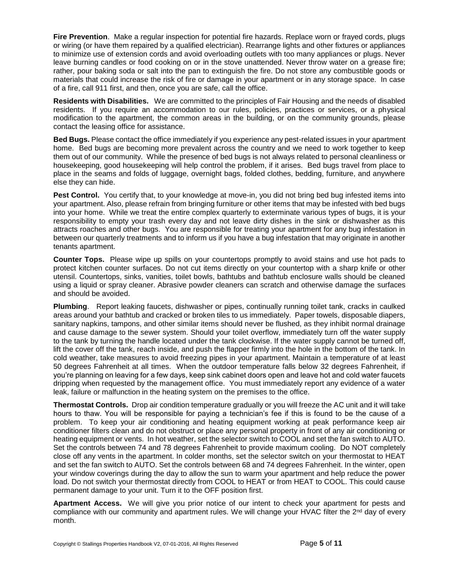**Fire Prevention**. Make a regular inspection for potential fire hazards. Replace worn or frayed cords, plugs or wiring (or have them repaired by a qualified electrician). Rearrange lights and other fixtures or appliances to minimize use of extension cords and avoid overloading outlets with too many appliances or plugs. Never leave burning candles or food cooking on or in the stove unattended. Never throw water on a grease fire; rather, pour baking soda or salt into the pan to extinguish the fire. Do not store any combustible goods or materials that could increase the risk of fire or damage in your apartment or in any storage space. In case of a fire, call 911 first, and then, once you are safe, call the office.

**Residents with Disabilities.** We are committed to the principles of Fair Housing and the needs of disabled residents. If you require an accommodation to our rules, policies, practices or services, or a physical modification to the apartment, the common areas in the building, or on the community grounds, please contact the leasing office for assistance.

**Bed Bugs.** Please contact the office immediately if you experience any pest-related issues in your apartment home. Bed bugs are becoming more prevalent across the country and we need to work together to keep them out of our community. While the presence of bed bugs is not always related to personal cleanliness or housekeeping, good housekeeping will help control the problem, if it arises. Bed bugs travel from place to place in the seams and folds of luggage, overnight bags, folded clothes, bedding, furniture, and anywhere else they can hide.

Pest Control. You certify that, to your knowledge at move-in, you did not bring bed bug infested items into your apartment. Also, please refrain from bringing furniture or other items that may be infested with bed bugs into your home. While we treat the entire complex quarterly to exterminate various types of bugs, it is your responsibility to empty your trash every day and not leave dirty dishes in the sink or dishwasher as this attracts roaches and other bugs. You are responsible for treating your apartment for any bug infestation in between our quarterly treatments and to inform us if you have a bug infestation that may originate in another tenants apartment.

**Counter Tops.** Please wipe up spills on your countertops promptly to avoid stains and use hot pads to protect kitchen counter surfaces. Do not cut items directly on your countertop with a sharp knife or other utensil. Countertops, sinks, vanities, toilet bowls, bathtubs and bathtub enclosure walls should be cleaned using a liquid or spray cleaner. Abrasive powder cleaners can scratch and otherwise damage the surfaces and should be avoided.

**Plumbing**. Report leaking faucets, dishwasher or pipes, continually running toilet tank, cracks in caulked areas around your bathtub and cracked or broken tiles to us immediately. Paper towels, disposable diapers, sanitary napkins, tampons, and other similar items should never be flushed, as they inhibit normal drainage and cause damage to the sewer system. Should your toilet overflow, immediately turn off the water supply to the tank by turning the handle located under the tank clockwise. If the water supply cannot be turned off, lift the cover off the tank, reach inside, and push the flapper firmly into the hole in the bottom of the tank. In cold weather, take measures to avoid freezing pipes in your apartment. Maintain a temperature of at least 50 degrees Fahrenheit at all times. When the outdoor temperature falls below 32 degrees Fahrenheit, if you're planning on leaving for a few days, keep sink cabinet doors open and leave hot and cold water faucets dripping when requested by the management office. You must immediately report any evidence of a water leak, failure or malfunction in the heating system on the premises to the office.

**Thermostat Controls.** Drop air condition temperature gradually or you will freeze the AC unit and it will take hours to thaw. You will be responsible for paying a technician's fee if this is found to be the cause of a problem. To keep your air conditioning and heating equipment working at peak performance keep air conditioner filters clean and do not obstruct or place any personal property in front of any air conditioning or heating equipment or vents. In hot weather, set the selector switch to COOL and set the fan switch to AUTO. Set the controls between 74 and 78 degrees Fahrenheit to provide maximum cooling. Do NOT completely close off any vents in the apartment. In colder months, set the selector switch on your thermostat to HEAT and set the fan switch to AUTO. Set the controls between 68 and 74 degrees Fahrenheit. In the winter, open your window coverings during the day to allow the sun to warm your apartment and help reduce the power load. Do not switch your thermostat directly from COOL to HEAT or from HEAT to COOL. This could cause permanent damage to your unit. Turn it to the OFF position first.

**Apartment Access.** We will give you prior notice of our intent to check your apartment for pests and compliance with our community and apartment rules. We will change your HVAC filter the  $2<sup>nd</sup>$  day of every month.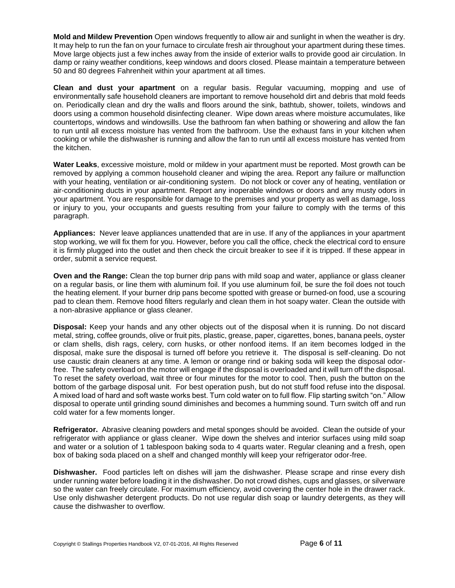**Mold and Mildew Prevention** Open windows frequently to allow air and sunlight in when the weather is dry. It may help to run the fan on your furnace to circulate fresh air throughout your apartment during these times. Move large objects just a few inches away from the inside of exterior walls to provide good air circulation. In damp or rainy weather conditions, keep windows and doors closed. Please maintain a temperature between 50 and 80 degrees Fahrenheit within your apartment at all times.

**Clean and dust your apartment** on a regular basis. Regular vacuuming, mopping and use of environmentally safe household cleaners are important to remove household dirt and debris that mold feeds on. Periodically clean and dry the walls and floors around the sink, bathtub, shower, toilets, windows and doors using a common household disinfecting cleaner. Wipe down areas where moisture accumulates, like countertops, windows and windowsills. Use the bathroom fan when bathing or showering and allow the fan to run until all excess moisture has vented from the bathroom. Use the exhaust fans in your kitchen when cooking or while the dishwasher is running and allow the fan to run until all excess moisture has vented from the kitchen.

**Water Leaks**, excessive moisture, mold or mildew in your apartment must be reported. Most growth can be removed by applying a common household cleaner and wiping the area. Report any failure or malfunction with your heating, ventilation or air-conditioning system. Do not block or cover any of heating, ventilation or air-conditioning ducts in your apartment. Report any inoperable windows or doors and any musty odors in your apartment. You are responsible for damage to the premises and your property as well as damage, loss or injury to you, your occupants and guests resulting from your failure to comply with the terms of this paragraph.

**Appliances:** Never leave appliances unattended that are in use. If any of the appliances in your apartment stop working, we will fix them for you. However, before you call the office, check the electrical cord to ensure it is firmly plugged into the outlet and then check the circuit breaker to see if it is tripped. If these appear in order, submit a service request.

**Oven and the Range:** Clean the top burner drip pans with mild soap and water, appliance or glass cleaner on a regular basis, or line them with aluminum foil. If you use aluminum foil, be sure the foil does not touch the heating element. If your burner drip pans become spotted with grease or burned-on food, use a scouring pad to clean them. Remove hood filters regularly and clean them in hot soapy water. Clean the outside with a non-abrasive appliance or glass cleaner.

**Disposal:** Keep your hands and any other objects out of the disposal when it is running. Do not discard metal, string, coffee grounds, olive or fruit pits, plastic, grease, paper, cigarettes, bones, banana peels, oyster or clam shells, dish rags, celery, corn husks, or other nonfood items. If an item becomes lodged in the disposal, make sure the disposal is turned off before you retrieve it. The disposal is self-cleaning. Do not use caustic drain cleaners at any time. A lemon or orange rind or baking soda will keep the disposal odorfree. The safety overload on the motor will engage if the disposal is overloaded and it will turn off the disposal. To reset the safety overload, wait three or four minutes for the motor to cool. Then, push the button on the bottom of the garbage disposal unit. For best operation push, but do not stuff food refuse into the disposal. A mixed load of hard and soft waste works best. Turn cold water on to full flow. Flip starting switch "on." Allow disposal to operate until grinding sound diminishes and becomes a humming sound. Turn switch off and run cold water for a few moments longer.

**Refrigerator.** Abrasive cleaning powders and metal sponges should be avoided. Clean the outside of your refrigerator with appliance or glass cleaner. Wipe down the shelves and interior surfaces using mild soap and water or a solution of 1 tablespoon baking soda to 4 quarts water. Regular cleaning and a fresh, open box of baking soda placed on a shelf and changed monthly will keep your refrigerator odor-free.

**Dishwasher.** Food particles left on dishes will jam the dishwasher. Please scrape and rinse every dish under running water before loading it in the dishwasher. Do not crowd dishes, cups and glasses, or silverware so the water can freely circulate. For maximum efficiency, avoid covering the center hole in the drawer rack. Use only dishwasher detergent products. Do not use regular dish soap or laundry detergents, as they will cause the dishwasher to overflow.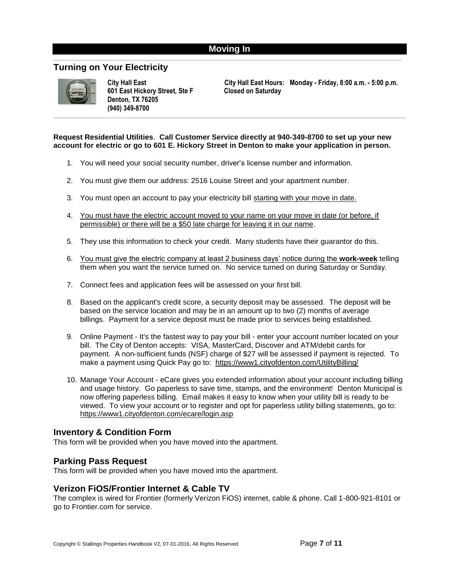#### **Moving In**

#### <span id="page-6-0"></span>**Turning on Your Electricity**



**601 East Hickory Street, Ste F Closed on Saturday Denton, TX 76205 (940) 349-8700**

**City Hall East City Hall East Hours: Monday - Friday, 8:00 a.m. - 5:00 p.m.**

**Request Residential Utilities**. **Call Customer Service directly at 940-349-8700 to set up your new account for electric or go to 601 E. Hickory Street in Denton to make your application in person.**

- 1. You will need your social security number, driver's license number and information.
- 2. You must give them our address: 2516 Louise Street and your apartment number.
- 3. You must open an account to pay your electricity bill starting with your move in date.
- 4. You must have the electric account moved to your name on your move in date (or before, if permissible) or there will be a \$50 late charge for leaving it in our name.
- 5. They use this information to check your credit. Many students have their guarantor do this.
- 6. You must give the electric company at least 2 business days' notice during the **work-week** telling them when you want the service turned on. No service turned on during Saturday or Sunday.
- 7. Connect fees and application fees will be assessed on your first bill.
- 8. Based on the applicant's credit score, a security deposit may be assessed. The deposit will be based on the service location and may be in an amount up to two (2) months of average billings. Payment for a service deposit must be made prior to services being established.
- 9. Online Payment It's the fastest way to pay your bill enter your account number located on your bill. The City of Denton accepts: VISA, MasterCard, Discover and ATM/debit cards for payment. A non-sufficient funds (NSF) charge of \$27 will be assessed if payment is rejected. To make a payment using Quick Pay go to: <https://www1.cityofdenton.com/UtilityBilling/>
- 10. Manage Your Account eCare gives you extended information about your account including billing and usage history. Go paperless to save time, stamps, and the environment! Denton Municipal is now offering paperless billing. Email makes it easy to know when your utility bill is ready to be viewed. To view your account or to register and opt for paperless utility billing statements, go to: <https://www1.cityofdenton.com/ecare/login.asp>

#### **Inventory & Condition Form**

This form will be provided when you have moved into the apartment.

#### **Parking Pass Request**

This form will be provided when you have moved into the apartment.

#### **Verizon FiOS/Frontier Internet & Cable TV**

The complex is wired for Frontier (formerly Verizon FiOS) internet, cable & phone. Call 1-800-921-8101 or go to Frontier.com for service.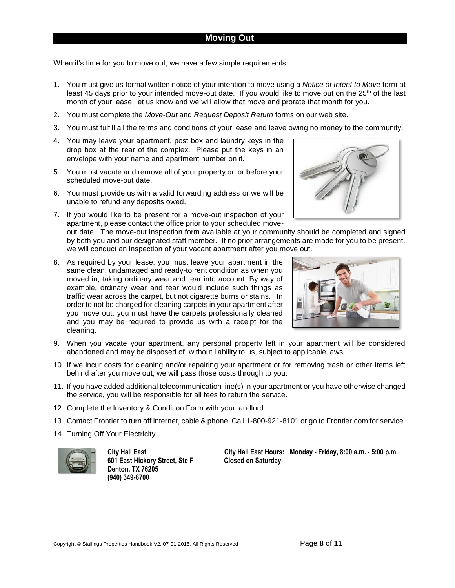#### **Moving Out**

<span id="page-7-0"></span>When it's time for you to move out, we have a few simple requirements:

- 1. You must give us formal written notice of your intention to move using a *Notice of Intent to Move* form at least 45 days prior to your intended move-out date. If you would like to move out on the 25<sup>th</sup> of the last month of your lease, let us know and we will allow that move and prorate that month for you.
- 2. You must complete the *Move-Out* and *Request Deposit Return* forms on our web site.
- 3. You must fulfill all the terms and conditions of your lease and leave owing no money to the community.
- 4. You may leave your apartment, post box and laundry keys in the drop box at the rear of the complex. Please put the keys in an envelope with your name and apartment number on it.
- 5. You must vacate and remove all of your property on or before your scheduled move-out date.
- 6. You must provide us with a valid forwarding address or we will be unable to refund any deposits owed.
- 7. If you would like to be present for a move-out inspection of your apartment, please contact the office prior to your scheduled moveout date. The move-out inspection form available at your community should be completed and signed by both you and our designated staff member. If no prior arrangements are made for you to be present, we will conduct an inspection of your vacant apartment after you move out.
- 8. As required by your lease, you must leave your apartment in the same clean, undamaged and ready-to rent condition as when you moved in, taking ordinary wear and tear into account. By way of example, ordinary wear and tear would include such things as traffic wear across the carpet, but not cigarette burns or stains. In order to not be charged for cleaning carpets in your apartment after you move out, you must have the carpets professionally cleaned and you may be required to provide us with a receipt for the cleaning.



- 9. When you vacate your apartment, any personal property left in your apartment will be considered abandoned and may be disposed of, without liability to us, subject to applicable laws.
- 10. If we incur costs for cleaning and/or repairing your apartment or for removing trash or other items left behind after you move out, we will pass those costs through to you.
- 11. If you have added additional telecommunication line(s) in your apartment or you have otherwise changed the service, you will be responsible for all fees to return the service.
- 12. Complete the Inventory & Condition Form with your landlord.
- 13. Contact Frontier to turn off internet, cable & phone. Call 1-800-921-8101 or go to Frontier.com for service.
- 14. Turning Off Your Electricity



**601 East Hickory Street, Ste F Closed on Saturday Denton, TX 76205 (940) 349-8700**

**City Hall East City Hall East Hours: Monday - Friday, 8:00 a.m. - 5:00 p.m.**

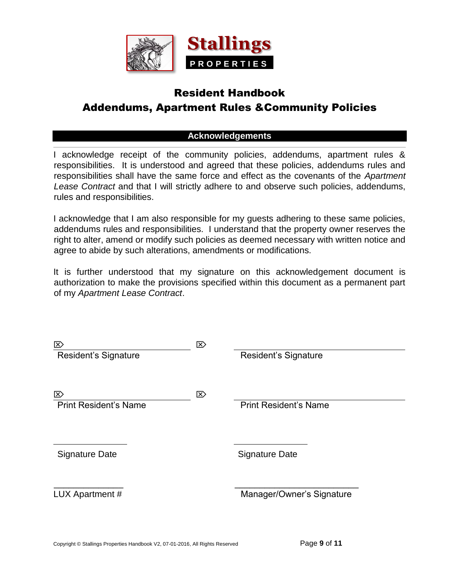

# Resident Handbook Addendums, Apartment Rules &Community Policies

#### **Acknowledgements**

<span id="page-8-0"></span>I acknowledge receipt of the community policies, addendums, apartment rules & responsibilities. It is understood and agreed that these policies, addendums rules and responsibilities shall have the same force and effect as the covenants of the *Apartment Lease Contract* and that I will strictly adhere to and observe such policies, addendums, rules and responsibilities.

I acknowledge that I am also responsible for my guests adhering to these same policies, addendums rules and responsibilities. I understand that the property owner reserves the right to alter, amend or modify such policies as deemed necessary with written notice and agree to abide by such alterations, amendments or modifications.

It is further understood that my signature on this acknowledgement document is authorization to make the provisions specified within this document as a permanent part of my *Apartment Lease Contract*.

| ⊠                            | $\boxtimes$ |                              |
|------------------------------|-------------|------------------------------|
| Resident's Signature         |             | <b>Resident's Signature</b>  |
|                              |             |                              |
| $\mathbb{Z}$                 | $\boxtimes$ |                              |
| <b>Print Resident's Name</b> |             | <b>Print Resident's Name</b> |
|                              |             |                              |
|                              |             |                              |
| <b>Signature Date</b>        |             | <b>Signature Date</b>        |
|                              |             |                              |
|                              |             |                              |
| LUX Apartment #              |             | Manager/Owner's Signature    |
|                              |             |                              |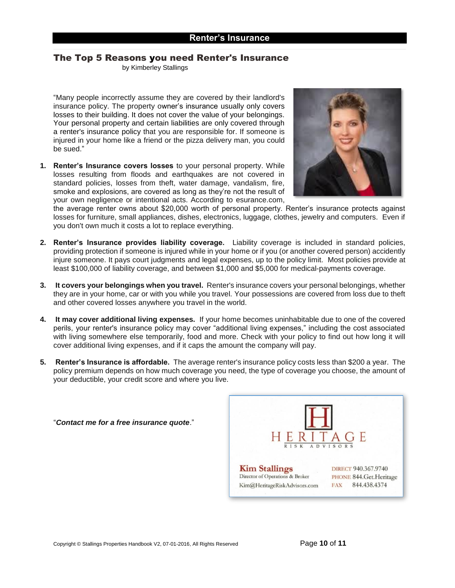### <span id="page-9-0"></span>The Top 5 Reasons you need Renter's Insurance

b[y Kimberley](http://www.investopedia.com/contributors/393/) Stallings

"Many people incorrectly assume they are covered by their landlord's insurance policy. The property owner's insurance usually only covers losses to their building. It does not cover the value of your belongings. Your personal property and certain liabilities are only covered through a [renter's insurance p](http://www.investopedia.com/terms/r/renters-insurance.asp)olicy that you are responsible for. If someone is injured in your home like a friend or the pizza delivery man, you could be sued."

**1. Renter's Insurance covers losses** to your personal property. While losses resulting from floods and earthquakes are not covered in standard policies, losses from theft, water damage, vandalism, fire, smoke and explosions, are covered as long as they're not the result of your own negligence or intentional acts. According to esurance.com,



the average renter owns about \$20,000 worth of personal property. Renter's insurance protects against losses for furniture, small appliances, dishes, electronics, luggage, clothes, jewelry and computers. Even if you don't own much it costs a lot to replace everything.

- **2. Renter's Insurance provides liability coverage.** Liability coverage is included in standard policies, providing protection if someone is injured while in your home or if you (or another covered person) accidently injure someone. It pays court judgments and legal expenses, up to the policy limit. Most policies provide at least \$100,000 of liability coverage, and between \$1,000 and \$5,000 for medical-payments coverage.
- **3. It covers your belongings when you travel.** Renter's insurance covers your personal belongings, whether they are in your home, car or with you while you travel. Your possessions are covered from loss due to theft and other covered losses anywhere you travel in the world.
- **4. It may cover additional living expenses.** If your home becomes uninhabitable due to one of the covered perils, your renter's insurance policy may cover "additional living expenses," including the cost associated with living somewhere else temporarily, food and more. Check with your policy to find out how long it will cover additional living expenses, and if it caps the amount the company will pay.
- **5. Renter's Insurance is affordable.** The average renter's insurance policy costs less than \$200 a year. The policy premium depends on how much coverage you need, the type of coverage you choose, the amount of your deductible, your credit score and where you live.



"*Contact me for a free insurance quote*."